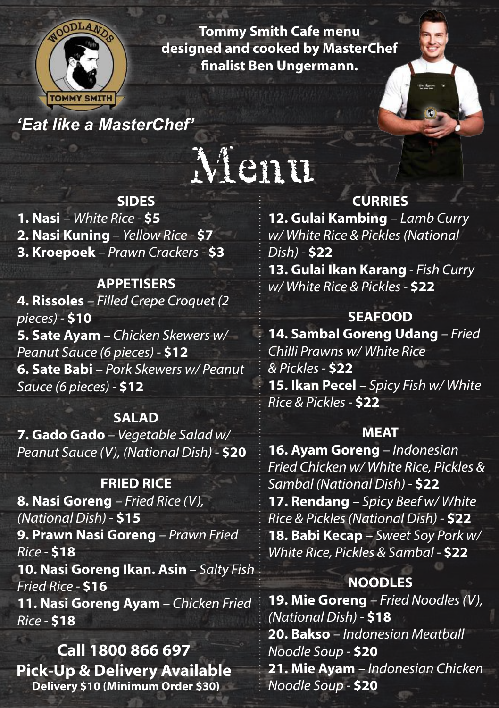

**Tommy Smith Cafe menu designed and cooked by MasterChef finalist Ben Ungermann.**

*'Eat like a MasterChef'*

# Menu

#### **SIDES**

**1. Nasi** *– White Rice -* **\$5 2. Nasi Kuning** *– Yellow Rice -* **\$7 3. Kroepoek** *– Prawn Crackers -* **\$3**

#### **APPETISERS**

**4. Rissoles** *– Filled Crepe Croquet (2 pieces) -* **\$10 5. Sate Ayam** *– Chicken Skewers w/ Peanut Sauce (6 pieces) -* **\$12 6. Sate Babi** *– Pork Skewers w/ Peanut Sauce (6 pieces) -* **\$12**

#### **SALAD**

**7. Gado Gado** *– Vegetable Salad w/ Peanut Sauce (V), (National Dish) -* **\$20**

#### **FRIED RICE**

**8. Nasi Goreng** *– Fried Rice (V), (National Dish) -* **\$15 9. Prawn Nasi Goreng** *– Prawn Fried Rice -* **\$18 10. Nasi Goreng Ikan. Asin** *– Salty Fish Fried Rice -* **\$16 11. Nasi Goreng Ayam** *– Chicken Fried Rice -* **\$18**

**Call 1800 866 697 Pick-Up & Delivery Available Delivery \$10 (Minimum Order \$30)**

## **CURRIES**

**12. Gulai Kambing** *– Lamb Curry w/ White Rice & Pickles (National Dish) -* **\$22 13. Gulai Ikan Karang** *- Fish Curry w/ White Rice & Pickles -* **\$22**

### **SEAFOOD**

**14. Sambal Goreng Udang** *– Fried Chilli Prawns w/ White Rice & Pickles -* **\$22 15. Ikan Pecel** *– Spicy Fish w/ White Rice & Pickles -* **\$22**

#### **MEAT**

**16. Ayam Goreng** *– Indonesian Fried Chicken w/ White Rice, Pickles & Sambal (National Dish) -* **\$22 17. Rendang** *– Spicy Beef w/ White Rice & Pickles (National Dish) -* **\$22 18. Babi Kecap** *– Sweet Soy Pork w/ White Rice, Pickles & Sambal -* **\$22**

# **NOODLES**

**19. Mie Goreng** *– Fried Noodles (V), (National Dish) -* **\$18 20. Bakso** *– Indonesian Meatball Noodle Soup -* **\$20 21. Mie Ayam** *– Indonesian Chicken Noodle Soup -* **\$20**